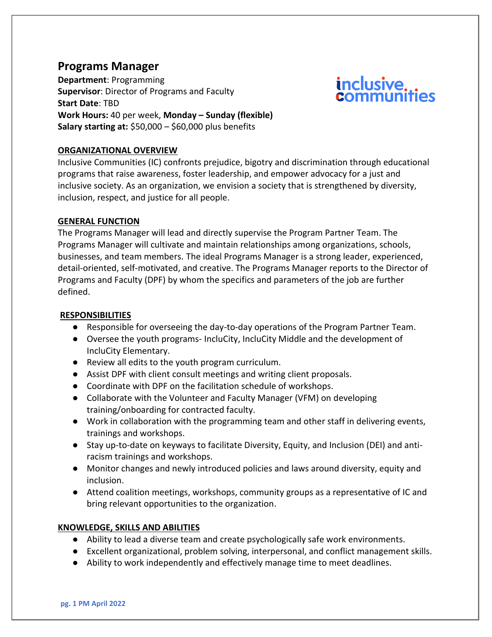# **Programs Manager**

**Department**: Programming **Supervisor**: Director of Programs and Faculty **Start Date**: TBD **Work Hours:** 40 per week, **Monday – Sunday (flexible) Salary starting at:** \$50,000 – \$60,000 plus benefits

# **ORGANIZATIONAL OVERVIEW**

Inclusive Communities (IC) confronts prejudice, bigotry and discrimination through educational programs that raise awareness, foster leadership, and empower advocacy for a just and inclusive society. As an organization, we envision a society that is strengthened by diversity, inclusion, respect, and justice for all people.

*inclusive* 

# **GENERAL FUNCTION**

The Programs Manager will lead and directly supervise the Program Partner Team. The Programs Manager will cultivate and maintain relationships among organizations, schools, businesses, and team members. The ideal Programs Manager is a strong leader, experienced, detail-oriented, self-motivated, and creative. The Programs Manager reports to the Director of Programs and Faculty (DPF) by whom the specifics and parameters of the job are further defined.

#### **RESPONSIBILITIES**

- Responsible for overseeing the day-to-day operations of the Program Partner Team.
- Oversee the youth programs- IncluCity, IncluCity Middle and the development of IncluCity Elementary.
- Review all edits to the youth program curriculum.
- Assist DPF with client consult meetings and writing client proposals.
- Coordinate with DPF on the facilitation schedule of workshops.
- Collaborate with the Volunteer and Faculty Manager (VFM) on developing training/onboarding for contracted faculty.
- Work in collaboration with the programming team and other staff in delivering events, trainings and workshops.
- Stay up-to-date on keyways to facilitate Diversity, Equity, and Inclusion (DEI) and antiracism trainings and workshops.
- Monitor changes and newly introduced policies and laws around diversity, equity and inclusion.
- Attend coalition meetings, workshops, community groups as a representative of IC and bring relevant opportunities to the organization.

# **KNOWLEDGE, SKILLS AND ABILITIES**

- Ability to lead a diverse team and create psychologically safe work environments.
- Excellent organizational, problem solving, interpersonal, and conflict management skills.
- Ability to work independently and effectively manage time to meet deadlines.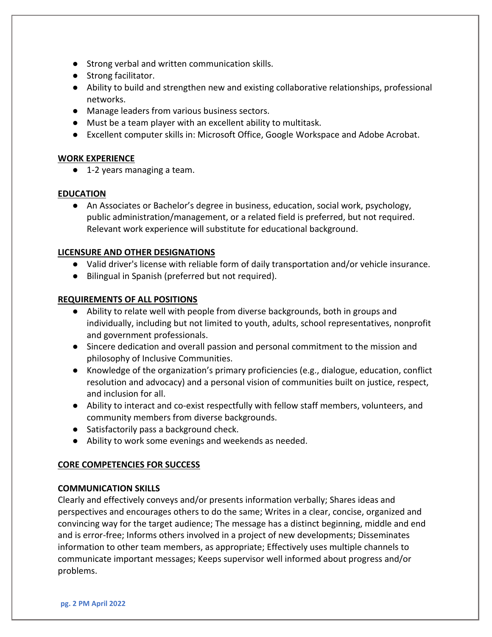- Strong verbal and written communication skills.
- Strong facilitator.
- Ability to build and strengthen new and existing collaborative relationships, professional networks.
- Manage leaders from various business sectors.
- Must be a team player with an excellent ability to multitask.
- Excellent computer skills in: Microsoft Office, Google Workspace and Adobe Acrobat.

# **WORK EXPERIENCE**

● 1-2 years managing a team.

## **EDUCATION**

● An Associates or Bachelor's degree in business, education, social work, psychology, public administration/management, or a related field is preferred, but not required. Relevant work experience will substitute for educational background.

## **LICENSURE AND OTHER DESIGNATIONS**

- Valid driver's license with reliable form of daily transportation and/or vehicle insurance.
- Bilingual in Spanish (preferred but not required).

## **REQUIREMENTS OF ALL POSITIONS**

- Ability to relate well with people from diverse backgrounds, both in groups and individually, including but not limited to youth, adults, school representatives, nonprofit and government professionals.
- Sincere dedication and overall passion and personal commitment to the mission and philosophy of Inclusive Communities.
- Knowledge of the organization's primary proficiencies (e.g., dialogue, education, conflict resolution and advocacy) and a personal vision of communities built on justice, respect, and inclusion for all.
- Ability to interact and co-exist respectfully with fellow staff members, volunteers, and community members from diverse backgrounds.
- Satisfactorily pass a background check.
- Ability to work some evenings and weekends as needed.

# **CORE COMPETENCIES FOR SUCCESS**

#### **COMMUNICATION SKILLS**

Clearly and effectively conveys and/or presents information verbally; Shares ideas and perspectives and encourages others to do the same; Writes in a clear, concise, organized and convincing way for the target audience; The message has a distinct beginning, middle and end and is error-free; Informs others involved in a project of new developments; Disseminates information to other team members, as appropriate; Effectively uses multiple channels to communicate important messages; Keeps supervisor well informed about progress and/or problems.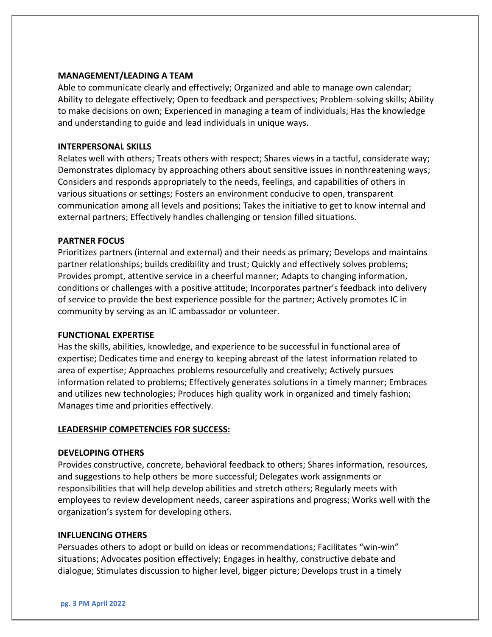#### **MANAGEMENT/LEADING A TEAM**

Able to communicate clearly and effectively; Organized and able to manage own calendar; Ability to delegate effectively; Open to feedback and perspectives; Problem-solving skills; Ability to make decisions on own; Experienced in managing a team of individuals; Has the knowledge and understanding to guide and lead individuals in unique ways.

#### **INTERPERSONAL SKILLS**

Relates well with others; Treats others with respect; Shares views in a tactful, considerate way; Demonstrates diplomacy by approaching others about sensitive issues in nonthreatening ways; Considers and responds appropriately to the needs, feelings, and capabilities of others in various situations or settings; Fosters an environment conducive to open, transparent communication among all levels and positions; Takes the initiative to get to know internal and external partners; Effectively handles challenging or tension filled situations.

## **PARTNER FOCUS**

Prioritizes partners (internal and external) and their needs as primary; Develops and maintains partner relationships; builds credibility and trust; Quickly and effectively solves problems; Provides prompt, attentive service in a cheerful manner; Adapts to changing information, conditions or challenges with a positive attitude; Incorporates partner's feedback into delivery of service to provide the best experience possible for the partner; Actively promotes IC in community by serving as an IC ambassador or volunteer.

#### **FUNCTIONAL EXPERTISE**

Has the skills, abilities, knowledge, and experience to be successful in functional area of expertise; Dedicates time and energy to keeping abreast of the latest information related to area of expertise; Approaches problems resourcefully and creatively; Actively pursues information related to problems; Effectively generates solutions in a timely manner; Embraces and utilizes new technologies; Produces high quality work in organized and timely fashion; Manages time and priorities effectively.

#### **LEADERSHIP COMPETENCIES FOR SUCCESS:**

#### **DEVELOPING OTHERS**

Provides constructive, concrete, behavioral feedback to others; Shares information, resources, and suggestions to help others be more successful; Delegates work assignments or responsibilities that will help develop abilities and stretch others; Regularly meets with employees to review development needs, career aspirations and progress; Works well with the organization's system for developing others.

#### **INFLUENCING OTHERS**

Persuades others to adopt or build on ideas or recommendations; Facilitates "win-win" situations; Advocates position effectively; Engages in healthy, constructive debate and dialogue; Stimulates discussion to higher level, bigger picture; Develops trust in a timely